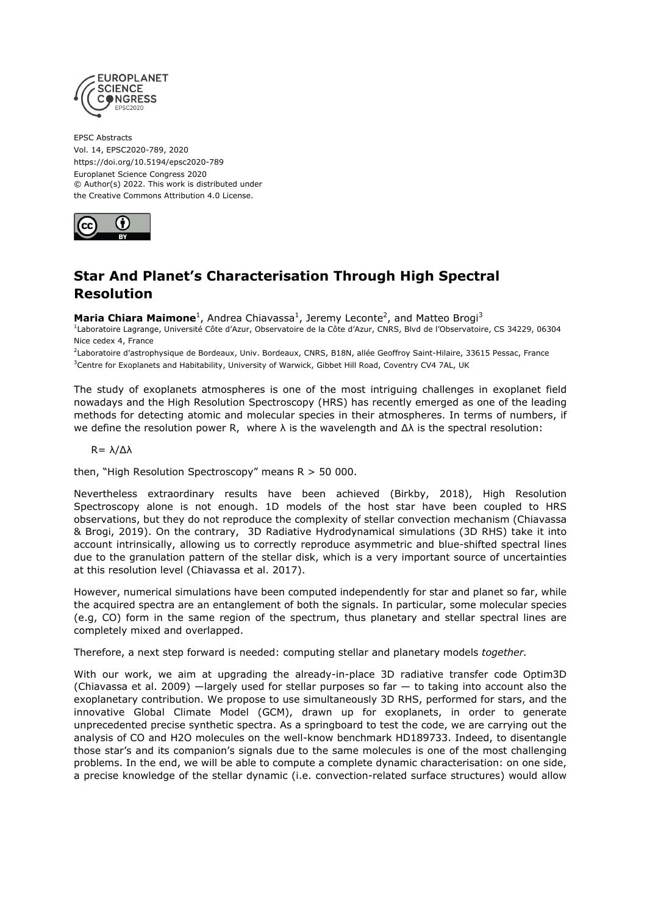

EPSC Abstracts Vol. 14, EPSC2020-789, 2020 https://doi.org/10.5194/epsc2020-789 Europlanet Science Congress 2020 © Author(s) 2022. This work is distributed under the Creative Commons Attribution 4.0 License.



## **Star And Planet's Characterisation Through High Spectral Resolution**

**Maria Chiara Maimone**<sup>1</sup>, Andrea Chiavassa<sup>1</sup>, Jeremy Leconte<sup>2</sup>, and Matteo Brogi<sup>3</sup>

<sup>1</sup>Laboratoire Lagrange, Université Côte d'Azur, Observatoire de la Côte d'Azur, CNRS, Blvd de l'Observatoire, CS 34229, 06304 Nice cedex 4, France

<sup>2</sup>Laboratoire d'astrophysique de Bordeaux, Univ. Bordeaux, CNRS, B18N, allée Geoffroy Saint-Hilaire, 33615 Pessac, France <sup>3</sup>Centre for Exoplanets and Habitability, University of Warwick, Gibbet Hill Road, Coventry CV4 7AL, UK

The study of exoplanets atmospheres is one of the most intriguing challenges in exoplanet field nowadays and the High Resolution Spectroscopy (HRS) has recently emerged as one of the leading methods for detecting atomic and molecular species in their atmospheres. In terms of numbers, if we define the resolution power R, where λ is the wavelength and Δλ is the spectral resolution:

## R= λ/Δλ

then, "High Resolution Spectroscopy" means  $R > 50000$ .

Nevertheless extraordinary results have been achieved (Birkby, 2018), High Resolution Spectroscopy alone is not enough. 1D models of the host star have been coupled to HRS observations, but they do not reproduce the complexity of stellar convection mechanism (Chiavassa & Brogi, 2019). On the contrary, 3D Radiative Hydrodynamical simulations (3D RHS) take it into account intrinsically, allowing us to correctly reproduce asymmetric and blue-shifted spectral lines due to the granulation pattern of the stellar disk, which is a very important source of uncertainties at this resolution level (Chiavassa et al. 2017).

However, numerical simulations have been computed independently for star and planet so far, while the acquired spectra are an entanglement of both the signals. In particular, some molecular species (e.g, CO) form in the same region of the spectrum, thus planetary and stellar spectral lines are completely mixed and overlapped.

Therefore, a next step forward is needed: computing stellar and planetary models *together.*

With our work, we aim at upgrading the already-in-place 3D radiative transfer code Optim3D (Chiavassa et al. 2009) —largely used for stellar purposes so far — to taking into account also the exoplanetary contribution. We propose to use simultaneously 3D RHS, performed for stars, and the innovative Global Climate Model (GCM), drawn up for exoplanets, in order to generate unprecedented precise synthetic spectra. As a springboard to test the code, we are carrying out the analysis of CO and H2O molecules on the well-know benchmark HD189733. Indeed, to disentangle those star's and its companion's signals due to the same molecules is one of the most challenging problems. In the end, we will be able to compute a complete dynamic characterisation: on one side, a precise knowledge of the stellar dynamic (i.e. convection-related surface structures) would allow